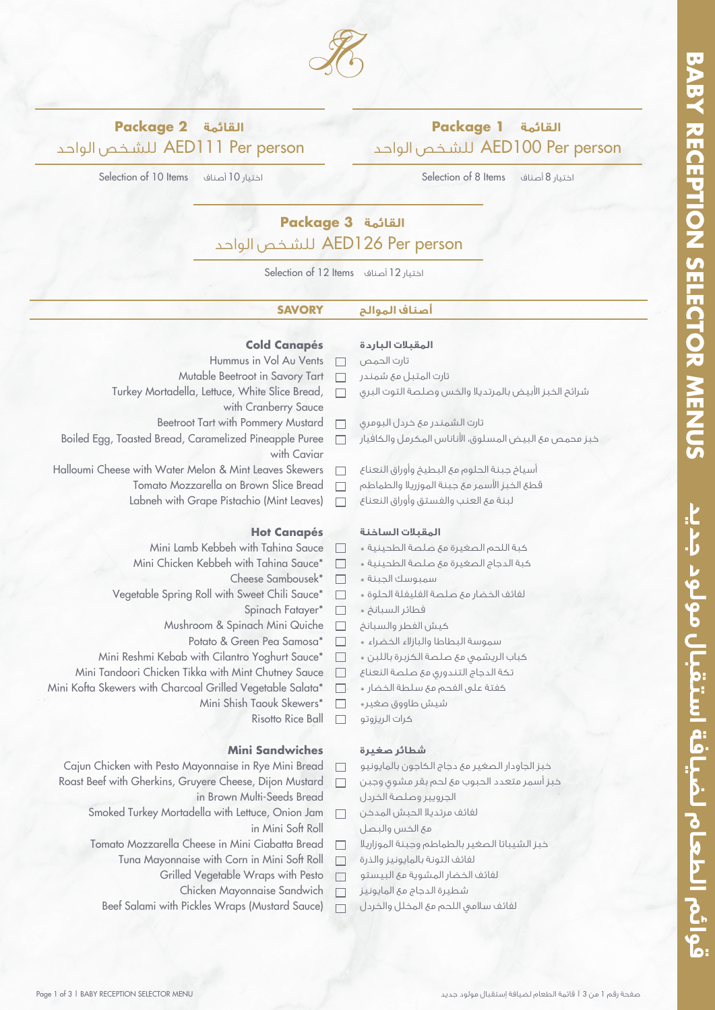قوائم الطعام لضيافة استقبال مولود جديد



#### **القائمة 1 Package** الواحد للشـخص AED100 Per person الواحد للشـخص AED111 Per person

Selection of 10 Items أصناف 10 اختيار

**القائمة 2 Package**

Selection of 8 Items اختيار 8

# **القائمة 3 Package** الواحد للشـخص AED126 Per person

Selection of 12 Items أصناف 12 اختيار

### **أصناف الموالح SAVORY**

#### **Cold Canapés**

 $\Box$ 

- Hummus in Vol Au Vents
- Mutable Beetroot in Savory Tart  $\Box$
- Turkey Mortadella, Lettuce, White Slice Bread,  $\Box$ with Cranberry Sauce
	- Beetroot Tart with Pommery Mustard  $\Box$
- Boiled Egg, Toasted Bread, Caramelized Pineapple Puree  $\Box$ with Caviar
- Halloumi Cheese with Water Melon & Mint Leaves Skewers  $\Box$ 
	- Tomato Mozzarella on Brown Slice Bread  $\Box$
	- Labneh with Grape Pistachio (Mint Leaves)

#### **Hot Canapés**

- Mini Lamb Kebbeh with Tahina Sauce  $\Box$
- Mini Chicken Kebbeh with Tahina Sauce\*  $\Box$ 
	- Cheese Sambousek\*  $\Box$
- Vegetable Spring Roll with Sweet Chili Sauce\*  $\Box$ 
	- Spinach Fatayer\*  $\Box$
	- Mushroom & Spinach Mini Quiche  $\Box$ 
		- Potato & Green Pea Samosa\*
- Mini Reshmi Kebab with Cilantro Yoghurt Sauce\*  $\Box$
- Mini Tandoori Chicken Tikka with Mint Chutney Sauce  $\Box$
- Mini Kofta Skewers with Charcoal Grilled Vegetable Salata\*
	- Mini Shish Taouk Skewers\*  $\Box$ 
		- Risotto Rice Ball  $\Box$

#### **Mini Sandwiches**

- Cajun Chicken with Pesto Mayonnaise in Rye Mini Bread  $\Box$
- Roast Beef with Gherkins, Gruyere Cheese, Dijon Mustard  $\Box$ 
	- in Brown Multi-Seeds Bread
	- Smoked Turkey Mortadella with Lettuce, Onion Jam  $\Box$ in Mini Soft Roll
	- Tomato Mozzarella Cheese in Mini Ciabatta Bread  $\Box$ 
		- Tuna Mayonnaise with Corn in Mini Soft Roll  $\Box$ 
			- Grilled Vegetable Wraps with Pesto  $\Box$ 
				- Chicken Mayonnaise Sandwich  $\Box$
		- Beef Salami with Pickles Wraps (Mustard Sauce)  $\Box$

## **المقبلات الباردة**

- تارت الحمص تارت المتبل مع شمندر
- شرائح الخبز الأبيض بالمرتديلا والخس وصلصة التوت البري
- تارت الشمندر مع خردل البومري
- خبز محمص مع البيض المسلوق، اناناس المكرمل والكافيار
- أسياخ جبنة الحلوم مع البطيخ وأوراق النعناع
- قطع الخبز اسمر مع جبنة الموزريلا والطماطم
- لبنة مع العنب والفستق وأوراق النعناع

#### **المقبلات الساخنة**

- كبة اللحم الصغيرة مع صلصة الطحينية \*
- كبة الدجاج الصغيرة مع صلصة الطحينية \*
- سمبوسك الجبنة »
- لفائف الخضار مع صلصة الفليفلة الحلوة @
- فطائر السبان*خ* \*
- كيش الفطر والسبانخ
- سموسة البطاطا والبازلاء الخضراء **»**
- كباب الريشمي مع صلصة الكزبرة باللبن \*
- تكة الدجاج التندوري مع صلصة النعناع
- كفتة على الفحم مع سلطة الخضار @
- شيش طاووق صغير »
- كرات الريزوتو

#### **شطائر صغيرة**

خبز الجاودار الصغير مع دجاج الكاجون بالمايونيو

- خبز أسمر متعدد الحبوب مع لحم بقر مشوي وجبن
- الجرويير وصلصة الخردل
- لفائف مرتديلا الحبش المدخن مع الخس والبصل
- خبز الشيباتا الصغير بالطماطم وجبنة الموزاريلا
- لفائف التونة بالمايونيز والذرة
- لفائف الخضار المشوية مع البيستو
- شطيرة الدجاج مع المايونيز
- لفائف سلامي اللحم مع المخلل والخردل

- $\Box$ 
	-
	-
	-
	-

 $\Box$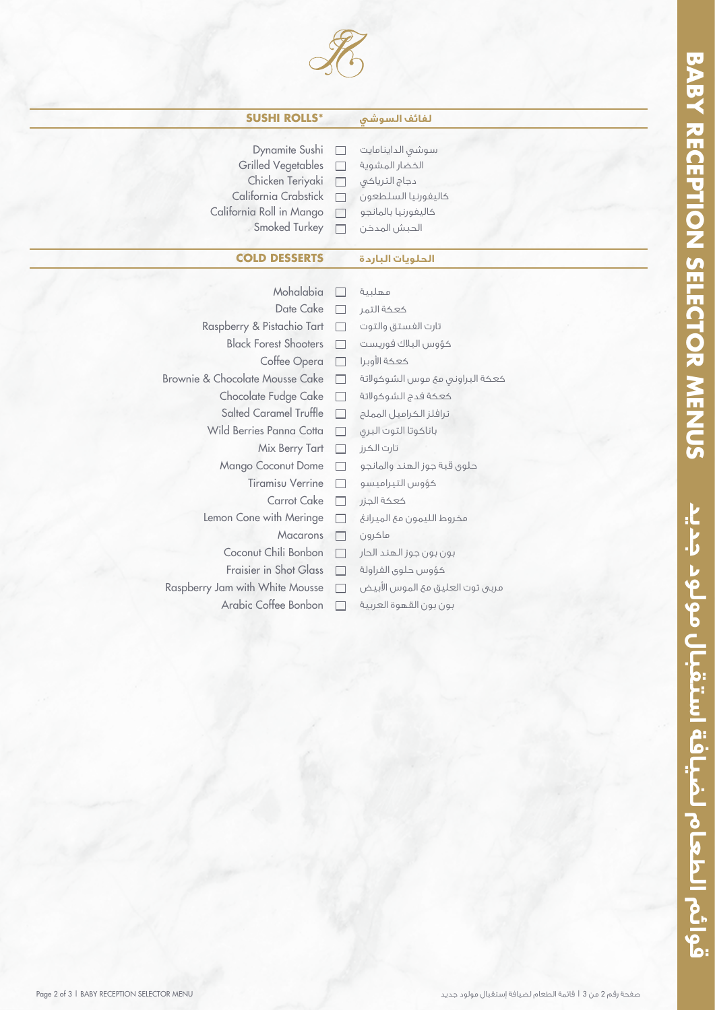

| <b>SUSHI ROLLS*</b>             |                          | لفائف السوشى                     |
|---------------------------------|--------------------------|----------------------------------|
|                                 |                          |                                  |
| Dynamite Sushi                  |                          | سوشى الداينامايت                 |
| <b>Grilled Vegetables</b>       |                          | الخضار المشوية                   |
| Chicken Teriyaki                | $\Box$                   | دجاج الترياكي                    |
| California Crabstick            |                          | كاليفورنيا السلطعون              |
| California Roll in Mango        |                          | كاليفورنيا بالمانجو              |
| Smoked Turkey                   |                          | الحبش المدخن                     |
| <b>COLD DESSERTS</b>            |                          | الحلويات الباردة                 |
|                                 |                          |                                  |
| Mohalabia                       |                          | مهلبية                           |
| Date Cake                       |                          | كعكة التهر                       |
| Raspberry & Pistachio Tart      | $\Box$                   | تارت الفستق والتوت               |
| <b>Black Forest Shooters</b>    |                          | كؤوس البلاك فوريست               |
| Coffee Opera                    | $\overline{\phantom{a}}$ | كعكة الأوبرا                     |
| Brownie & Chocolate Mousse Cake | П                        | كعكة البراونيى مع موس الشوكولاتة |
| Chocolate Fudge Cake            | П                        | كعكة فدج الشوكولاتة              |
| Salted Caramel Truffle          | П                        | ترافلز الكراميل المملح           |
| Wild Berries Panna Cotta        | П                        | باناكوتا التوت البرى             |
| Mix Berry Tart                  | П                        | تارت الكرز                       |
| Mango Coconut Dome              | П                        | حلوى قبة جوز الهند والمانجو      |
| <b>Tiramisu Verrine</b>         |                          | كؤوس التيراميسو                  |
| Carrot Cake                     | <b>Talent</b>            | كعكة الجزر                       |
| Lemon Cone with Meringe         |                          | مخروط الليمون مع الميرانغ        |
| <b>Macarons</b>                 | $\Box$                   | ماكرون                           |
| Coconut Chili Bonbon            |                          | بون بون جوز الهند الحار          |
| Fraisier in Shot Glass          |                          | كؤوس حلوى الغراولة               |
| Raspberry Jam with White Mousse |                          | مربيى توت العليق مع الموس الأبيض |

Arabic Coffee Bonbon بون بون القهوة العربية